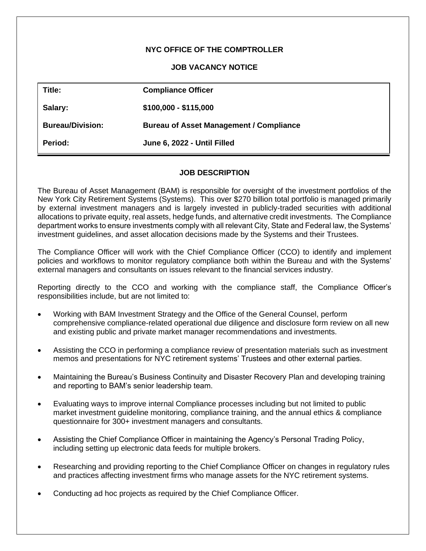# **NYC OFFICE OF THE COMPTROLLER**

### **JOB VACANCY NOTICE**

| Title:                  | <b>Compliance Officer</b>                      |
|-------------------------|------------------------------------------------|
| Salary:                 | $$100,000 - $115,000$                          |
| <b>Bureau/Division:</b> | <b>Bureau of Asset Management / Compliance</b> |
| <b>Period:</b>          | June 6, 2022 - Until Filled                    |

### **JOB DESCRIPTION**

The Bureau of Asset Management (BAM) is responsible for oversight of the investment portfolios of the New York City Retirement Systems (Systems). This over \$270 billion total portfolio is managed primarily by external investment managers and is largely invested in publicly-traded securities with additional allocations to private equity, real assets, hedge funds, and alternative credit investments. The Compliance department works to ensure investments comply with all relevant City, State and Federal law, the Systems' investment guidelines, and asset allocation decisions made by the Systems and their Trustees.

The Compliance Officer will work with the Chief Compliance Officer (CCO) to identify and implement policies and workflows to monitor regulatory compliance both within the Bureau and with the Systems' external managers and consultants on issues relevant to the financial services industry.

Reporting directly to the CCO and working with the compliance staff, the Compliance Officer's responsibilities include, but are not limited to:

- Working with BAM Investment Strategy and the Office of the General Counsel, perform comprehensive compliance-related operational due diligence and disclosure form review on all new and existing public and private market manager recommendations and investments.
- Assisting the CCO in performing a compliance review of presentation materials such as investment memos and presentations for NYC retirement systems' Trustees and other external parties.
- Maintaining the Bureau's Business Continuity and Disaster Recovery Plan and developing training and reporting to BAM's senior leadership team.
- Evaluating ways to improve internal Compliance processes including but not limited to public market investment guideline monitoring, compliance training, and the annual ethics & compliance questionnaire for 300+ investment managers and consultants.
- Assisting the Chief Compliance Officer in maintaining the Agency's Personal Trading Policy, including setting up electronic data feeds for multiple brokers.
- Researching and providing reporting to the Chief Compliance Officer on changes in regulatory rules and practices affecting investment firms who manage assets for the NYC retirement systems.
- Conducting ad hoc projects as required by the Chief Compliance Officer.